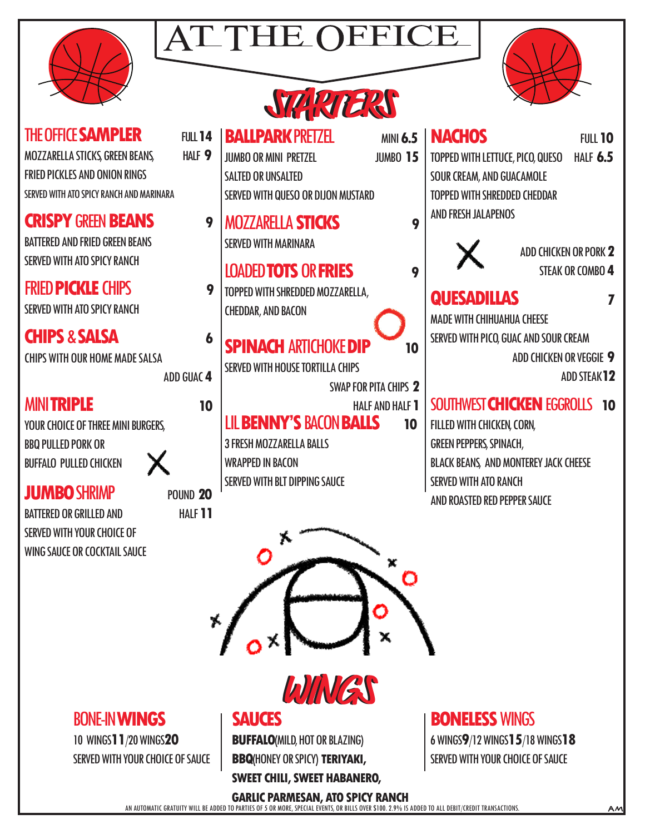





|                                                                                                                                                                                                                                                                                                           | <b>SWARTERS</b>                                                                                                                                                                       |                                                                                                                                                                                                                 |
|-----------------------------------------------------------------------------------------------------------------------------------------------------------------------------------------------------------------------------------------------------------------------------------------------------------|---------------------------------------------------------------------------------------------------------------------------------------------------------------------------------------|-----------------------------------------------------------------------------------------------------------------------------------------------------------------------------------------------------------------|
| THE OFFICE <b>SAMPLER</b><br><b>FULL 14</b><br>MOZZARELLA STICKS, GREEN BEANS,<br>HALF 9<br><b>FRIED PICKLES AND ONION RINGS</b><br>SERVED WITH ATO SPICY RANCH AND MARINARA                                                                                                                              | <b>BALLPARK PRETZEL</b><br><b>JUMBO OR MINI PRETZEL</b><br><b>JUMBO 15</b><br><b>SALTED OR UNSALTED</b><br>SERVED WITH QUESO OR DIJON MUSTARD                                         | <b>NACHOS</b><br><b>MINI 6.5</b><br><b>FULL 10</b><br>TOPPED WITH LETTUCE, PICO, QUESO<br><b>HALF 6.5</b><br><b>SOUR CREAM, AND GUACAMOLE</b><br><b>TOPPED WITH SHREDDED CHEDDAR</b>                            |
| <b>CRISPY GREEN BEANS</b><br>9<br><b>BATTERED AND FRIED GREEN BEANS</b><br><b>SERVED WITH ATO SPICY RANCH</b>                                                                                                                                                                                             | <b>MOZZARELLA STICKS</b><br><b>SERVED WITH MARINARA</b><br><b>LOADED TOTS OR FRIES</b>                                                                                                | <b>AND FRESH JALAPENOS</b><br>9<br>ADD CHICKEN OR PORK 2<br>STEAK OR COMBO 4<br>9                                                                                                                               |
| <b>FRIED PICKLE CHIPS</b><br>9<br><b>SERVED WITH ATO SPICY RANCH</b>                                                                                                                                                                                                                                      | TOPPED WITH SHREDDED MOZZARELLA,<br><b>CHEDDAR, AND BACON</b>                                                                                                                         | <b>QUESADILLAS</b><br>7<br><b>MADE WITH CHIHUAHUA CHEESE</b>                                                                                                                                                    |
| <b>CHIPS &amp; SALSA</b><br>6<br><b>CHIPS WITH OUR HOME MADE SALSA</b><br>ADD GUAC 4                                                                                                                                                                                                                      | <b>SPINACH ARTICHOKE DIP</b><br><b>SERVED WITH HOUSE TORTILLA CHIPS</b><br>SWAP FOR PITA CHIPS 2                                                                                      | SERVED WITH PICO, GUAC AND SOUR CREAM<br>10<br>ADD CHICKEN OR VEGGIE 9<br><b>ADD STEAK 12</b>                                                                                                                   |
| <b>MINITRIPLE</b><br>10<br>YOUR CHOICE OF THREE MINI BURGERS,<br><b>BBQ PULLED PORK OR</b><br><b>BUFFALO PULLED CHICKEN</b><br><b>JUMBO SHRIMP</b><br><b>POUND 20</b><br>HALF <sub>11</sub><br><b>BATTERED OR GRILLED AND</b><br><b>SERVED WITH YOUR CHOICE OF</b><br><b>WING SAUCE OR COCKTAIL SAUCE</b> | <b>HALF AND HALF 1</b><br><b>LIL BENNY'S BACON BALLS</b><br><b>3 FRESH MOZZARELLA BALLS</b><br><b>WRAPPED IN BACON</b><br>SERVED WITH BLT DIPPING SAUCE<br>х<br>$o^{\times}$<br>WINGS | SOUTHWEST CHICKEN EGGROLLS<br>10<br>10<br>FILLED WITH CHICKEN, CORN,<br><b>GREEN PEPPERS, SPINACH,</b><br>BLACK BEANS, AND MONTEREY JACK CHEESE<br><b>SERVED WITH ATO RANCH</b><br>AND ROASTED RED PEPPER SAUCE |
| <b>BONE-IN WINGS</b>                                                                                                                                                                                                                                                                                      | <b>SAUCES</b>                                                                                                                                                                         | <b>BONELESS WINGS</b>                                                                                                                                                                                           |

10 WINGS**11**/20 WINGS**20** SERVED WITH YOUR CHOICE OF SAUCE

### **SAUCES**

**BUFFALO**(MILD, HOT OR BLAZING) **BBQ**(HONEY OR SPICY) **TERIYAKI,** 

**SWEET CHILI, SWEET HABANERO,** 

**BONELESS** WINGS

6 WINGS**9**/12 WINGS**15**/18 WINGS**18** SERVED WITH YOUR CHOICE OF SAUCE

AN AUTOMATIC GRATUITY WILL BE ADDED TO PARTIES OF 5 OR MORE, SPECIAL EVENTS, OR BILLS OVER \$100. 2.9% IS ADDED TO ALL DEBIT/CREDIT TRANSACTIONS. **GARLIC PARMESAN, ATO SPICY RANCH**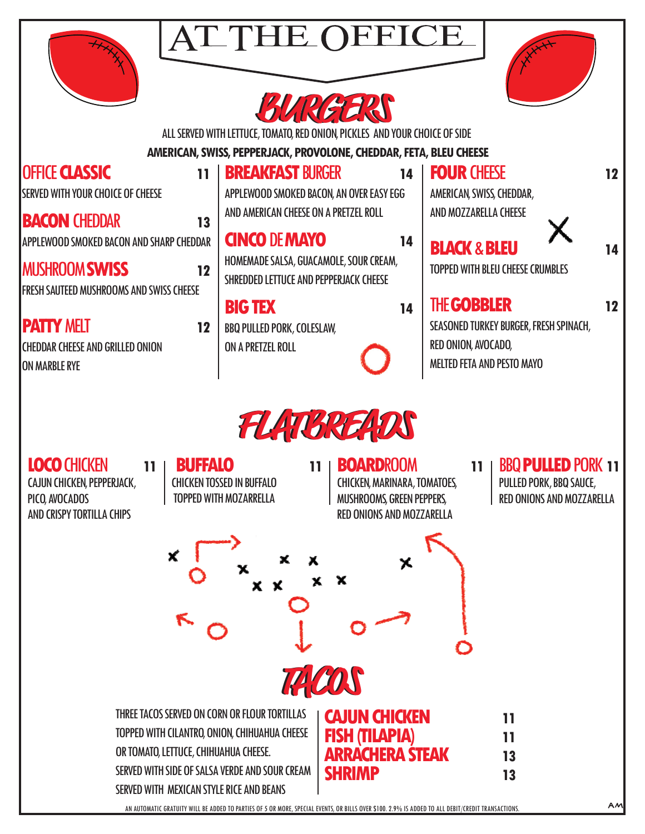

## ATTHE OI





ALL SERVED WITH LETTUCE, TOMATO, RED ONION, PICKLES AND YOUR CHOICE OF SIDE

 **AMERICAN, SWISS, PEPPERJACK, PROVOLONE, CHEDDAR, FETA, BLEU CHEESE**

| <b>OFFICE CLASSIC</b><br>11                                                                 | <b>BREAKFAST BURGER</b><br>14                                        | <b>FOUR CHEESE</b>                                                                          | 12 |
|---------------------------------------------------------------------------------------------|----------------------------------------------------------------------|---------------------------------------------------------------------------------------------|----|
| <b>SERVED WITH YOUR CHOICE OF CHEESE</b>                                                    | APPLEWOOD SMOKED BACON, AN OVER EASY EGG                             | AMERICAN, SWISS, CHEDDAR,                                                                   |    |
| <b>BACON CHEDDAR</b><br>13                                                                  | AND AMERICAN CHEESE ON A PRETZEL ROLL                                | AND MOZZARELLA CHEESE                                                                       |    |
| <b>APPLEWOOD SMOKED BACON AND SHARP CHEDDAR</b><br><b>MUSHROOM SWISS</b>                    | <b>CINCO DE MAYO</b><br>14<br>HOMEMADE SALSA, GUACAMOLE, SOUR CREAM, | <b>BLACK &amp; BLEU</b><br><b>TOPPED WITH BLEU CHEESE CRUMBLES</b>                          | 14 |
| 12<br><b>FRESH SAUTEED MUSHROOMS AND SWISS CHEESE</b>                                       | SHREDDED LETTUCE AND PEPPERJACK CHEESE<br><b>BIG TEX</b><br>14       | <b>THE GOBBLER</b>                                                                          | 12 |
| <b>PATTY MELT</b><br>12<br><b>CHEDDAR CHEESE AND GRILLED ONION</b><br><b>JON MARBLE RYE</b> | <b>BBQ PULLED PORK, COLESLAW,</b><br>ON A PRETZEL ROLL               | SEASONED TURKEY BURGER, FRESH SPINACH,<br>RED ONION, AVOCADO,<br>MELTED FETA AND PESTO MAYO |    |
|                                                                                             | $\sim$ $\sim$ $\sim$ $\sim$ $\sim$ $\sim$ $\sim$ $\sim$              |                                                                                             |    |



### **LOCO** CHICKEN **11**

CAJUN CHICKEN, PEPPERJACK, PICO, AVOCADOS AND CRISPY TORTILLA CHIPS

**BUFFALO** 11 |

CHICKEN TOSSED IN BUFFALO TOPPED WITH MOZARRELLA

#### **BOARDROOM 11**

CHICKEN, MARINARA, TOMATOES, MUSHROOMS, GREEN PEPPERS, RED ONIONS AND MOZZARELLA

### BBQ **PULLED** PORK **11**

PULLED PORK, BBQ SAUCE, RED ONIONS AND MOZZARELLA

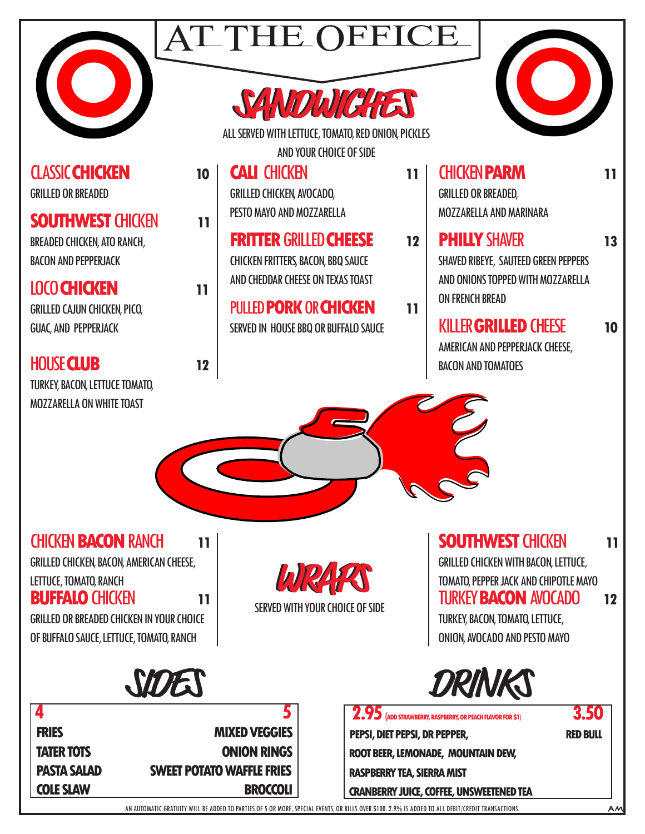

GRILLED OR BREADED

BREADED CHICKEN, ATO RANCH,

GRILLED CAJUN CHICKEN, PICO,

BACON AND PEPPERJACK

GUAC, AND PEPPERJACK

CLASSIC **CHICKEN 10** 

**SOUTHWEST CHICKEN 11** 

LOCO **CHICKEN 11**

## **ATTHE OF**





ALL SERVED WITH LETTUCE, TOMATO, RED ONION, PICKLES AND YOUR CHOICE OF SIDE

### **CALI** CHICKEN **11**  GRILLED CHICKEN, AVOCADO, PESTO MAYO AND MOZZARELLA

**FRITTER GRILLED CHEESE** 12 CHICKEN FRITTERS, BACON, BBQ SAUCE AND CHEDDAR CHEESE ON TEXAS TOAST

#### PULLED **PORK** OR **CHICKEN 11** SERVED IN HOUSE BBQ OR BUFFALO SAUCE

CHICKEN **PARM 11**  GRILLED OR BREADED, MOZZARELLA AND MARINARA

**PHILLY** SHAVER **13** SHAVED RIBEYE, SAUTEED GREEN PEPPERS AND ONIONS TOPPED WITH MOZZARELLA ON FRENCH BREAD

### KILLER **GRILLED** CHEESE **10**

AMERICAN AND PEPPERJACK CHEESE, BACON AND TOMATOES

TURKEY, BACON, LETTUCE TOMATO, MOZZARELLA ON WHITE TOAST

HOUSE **CLUB 12**

CHICKEN **BACON** RANCH **11** GRILLED CHICKEN, BACON, AMERICAN CHEESE,

LETTUCE, TOMATO, RANCH

**BUFFALO** CHICKEN **11**

GRILLED OR BREADED CHICKEN IN YOUR CHOICE OF BUFFALO SAUCE, LETTUCE, TOMATO, RANCH

**WRAPS WRAPS** SERVED WITH YOUR CHOICE OF SIDE **SOUTHWEST CHICKEN 11** GRILLED CHICKEN WITH BACON, LETTUCE, TOMATO, PEPPER JACK AND CHIPOTLE MAYO TURKEY **BACON** AVOCADO **12**

TURKEY, BACON, TOMATO, LETTUCE, ONION, AVOCADO AND PESTO MAYO





| <b>FRIES</b>       | <b>MIXED VEGGIES</b>             |
|--------------------|----------------------------------|
| <b>TATER TOTS</b>  | <b>ONION RINGS</b>               |
| <b>PASTA SALAD</b> | <b>SWEET POTATO WAFFLE FRIES</b> |
| <b>COLE SLAW</b>   | <b>BROCCOLI</b>                  |
|                    |                                  |

**2.95** (ADD STRAWBERRY, RASPBERRY, OR PEACH FLAVOR FOR \$1) **3.50 PEPSI, DIET PEPSI, DR PEPPER, RED BULL ROOT BEER, LEMONADE, MOUNTAIN DEW, RASPBERRY TEA, SIERRA MIST CRANBERRY JUICE, COFFEE, UNSWEETENED TEA**

AN AUTOMATIC GRATUITY WILL BE ADDED TO PARTIES OF 5 OR MORE, SPECIAL EVENTS, OR BILLS OVER \$100. 2.9% IS ADDED TO ALL DEBIT/CREDIT TRANSACTIONS.